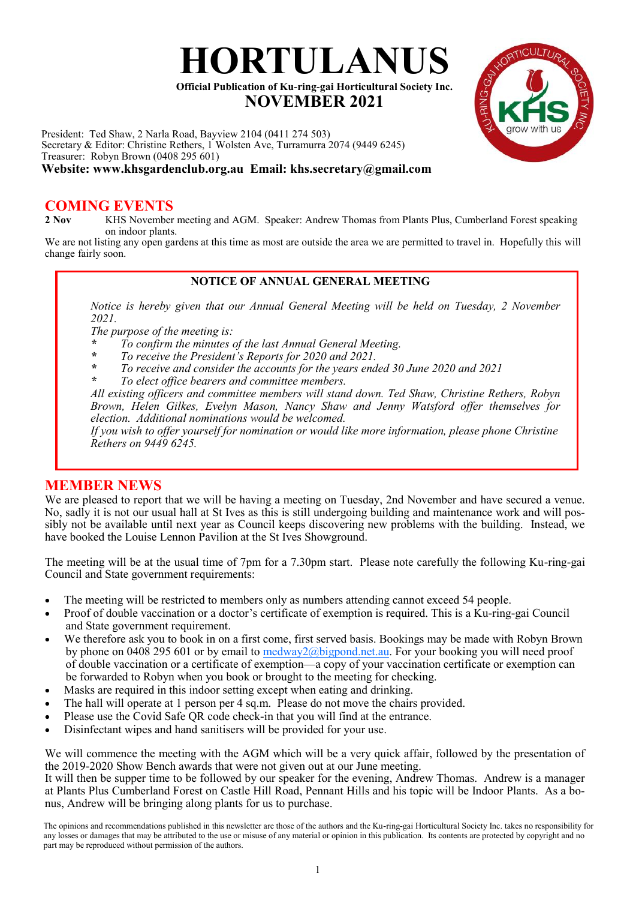

President: Ted Shaw, 2 Narla Road, Bayview 2104 (0411 274 503) Secretary & Editor: Christine Rethers, 1 Wolsten Ave, Turramurra 2074 (9449 6245) Treasurer: Robyn Brown (0408 295 601) **Website: www.khsgardenclub.org.au Email: khs.secretary@gmail.com**

# **COMING EVENTS**<br>2 Nov **KHS** November

**2 Nov** KHS November meeting and AGM. Speaker: Andrew Thomas from Plants Plus, Cumberland Forest speaking on indoor plants.

**HORTULANUS**

 **NOVEMBER 2021**

We are not listing any open gardens at this time as most are outside the area we are permitted to travel in. Hopefully this will change fairly soon.

#### **NOTICE OF ANNUAL GENERAL MEETING**

*Notice is hereby given that our Annual General Meeting will be held on Tuesday, 2 November 2021.*

*The purpose of the meeting is:*

*\* To confirm the minutes of the last Annual General Meeting.*

- *\* To receive the President's Reports for 2020 and 2021.*
- *\* To receive and consider the accounts for the years ended 30 June 2020 and 2021*
- *\* To elect office bearers and committee members.*

*All existing officers and committee members will stand down. Ted Shaw, Christine Rethers, Robyn Brown, Helen Gilkes, Evelyn Mason, Nancy Shaw and Jenny Watsford offer themselves for election. Additional nominations would be welcomed.*

*If you wish to offer yourself for nomination or would like more information, please phone Christine Rethers on 9449 6245.*

## **MEMBER NEWS**

We are pleased to report that we will be having a meeting on Tuesday, 2nd November and have secured a venue. No, sadly it is not our usual hall at St Ives as this is still undergoing building and maintenance work and will possibly not be available until next year as Council keeps discovering new problems with the building. Instead, we have booked the Louise Lennon Pavilion at the St Ives Showground.

The meeting will be at the usual time of 7pm for a 7.30pm start. Please note carefully the following Ku-ring-gai Council and State government requirements:

- The meeting will be restricted to members only as numbers attending cannot exceed 54 people.
- Proof of double vaccination or a doctor's certificate of exemption is required. This is a  $\bar{K}u$ -ring-gai Council and State government requirement.
- We therefore ask you to book in on a first come, first served basis. Bookings may be made with Robyn Brown by phone on 0408 295 601 or by email to  $\frac{m\cdot\sqrt{2}}{a\cdot\sqrt{2}}$  bigpond.net.au. For your booking you will need proof of double vaccination or a certificate of exemption—a copy of your vaccination certificate or exemption can be forwarded to Robyn when you book or brought to the meeting for checking.
- Masks are required in this indoor setting except when eating and drinking.
- The hall will operate at 1 person per 4 sq.m. Please do not move the chairs provided.
- Please use the Covid Safe QR code check-in that you will find at the entrance.
- Disinfectant wipes and hand sanitisers will be provided for your use.

We will commence the meeting with the AGM which will be a very quick affair, followed by the presentation of the 2019-2020 Show Bench awards that were not given out at our June meeting.

It will then be supper time to be followed by our speaker for the evening, Andrew Thomas. Andrew is a manager at Plants Plus Cumberland Forest on Castle Hill Road, Pennant Hills and his topic will be Indoor Plants. As a bonus, Andrew will be bringing along plants for us to purchase.

The opinions and recommendations published in this newsletter are those of the authors and the Ku-ring-gai Horticultural Society Inc. takes no responsibility for any losses or damages that may be attributed to the use or misuse of any material or opinion in this publication. Its contents are protected by copyright and no part may be reproduced without permission of the authors.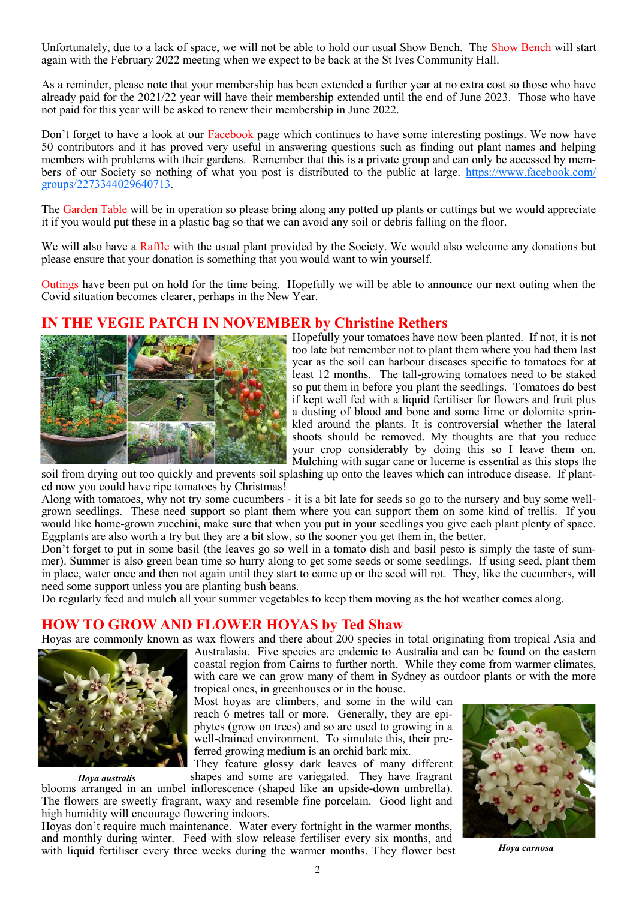Unfortunately, due to a lack of space, we will not be able to hold our usual Show Bench. The Show Bench will start again with the February 2022 meeting when we expect to be back at the St Ives Community Hall.

As a reminder, please note that your membership has been extended a further year at no extra cost so those who have already paid for the 2021/22 year will have their membership extended until the end of June 2023. Those who have not paid for this year will be asked to renew their membership in June 2022.

Don't forget to have a look at our Facebook page which continues to have some interesting postings. We now have 50 contributors and it has proved very useful in answering questions such as finding out plant names and helping members with problems with their gardens. Remember that this is a private group and can only be accessed by members of our Society so nothing of what you post is distributed to the public at large. [https://www.facebook.com/](https://www.facebook.com/groups/2273344029640713) [groups/2273344029640713](https://www.facebook.com/groups/2273344029640713).

The Garden Table will be in operation so please bring along any potted up plants or cuttings but we would appreciate it if you would put these in a plastic bag so that we can avoid any soil or debris falling on the floor.

We will also have a Raffle with the usual plant provided by the Society. We would also welcome any donations but please ensure that your donation is something that you would want to win yourself.

Outings have been put on hold for the time being. Hopefully we will be able to announce our next outing when the Covid situation becomes clearer, perhaps in the New Year.

## **IN THE VEGIE PATCH IN NOVEMBER by Christine Rethers**



Hopefully your tomatoes have now been planted. If not, it is not too late but remember not to plant them where you had them last year as the soil can harbour diseases specific to tomatoes for at least 12 months. The tall-growing tomatoes need to be staked so put them in before you plant the seedlings. Tomatoes do best if kept well fed with a liquid fertiliser for flowers and fruit plus a dusting of blood and bone and some lime or dolomite sprinkled around the plants. It is controversial whether the lateral shoots should be removed. My thoughts are that you reduce your crop considerably by doing this so I leave them on. Mulching with sugar cane or lucerne is essential as this stops the

soil from drying out too quickly and prevents soil splashing up onto the leaves which can introduce disease. If planted now you could have ripe tomatoes by Christmas!

Along with tomatoes, why not try some cucumbers - it is a bit late for seeds so go to the nursery and buy some wellgrown seedlings. These need support so plant them where you can support them on some kind of trellis. If you would like home-grown zucchini, make sure that when you put in your seedlings you give each plant plenty of space. Eggplants are also worth a try but they are a bit slow, so the sooner you get them in, the better.

Don't forget to put in some basil (the leaves go so well in a tomato dish and basil pesto is simply the taste of summer). Summer is also green bean time so hurry along to get some seeds or some seedlings. If using seed, plant them in place, water once and then not again until they start to come up or the seed will rot. They, like the cucumbers, will need some support unless you are planting bush beans.

Do regularly feed and mulch all your summer vegetables to keep them moving as the hot weather comes along.

#### **HOW TO GROW AND FLOWER HOYAS by Ted Shaw**

Hoyas are commonly known as wax flowers and there about 200 species in total originating from tropical Asia and



*Hoya australis*

Australasia. Five species are endemic to Australia and can be found on the eastern coastal region from Cairns to further north. While they come from warmer climates, with care we can grow many of them in Sydney as outdoor plants or with the more tropical ones, in greenhouses or in the house.

Most hoyas are climbers, and some in the wild can reach 6 metres tall or more. Generally, they are epiphytes (grow on trees) and so are used to growing in a well-drained environment. To simulate this, their preferred growing medium is an orchid bark mix.

They feature glossy dark leaves of many different shapes and some are variegated. They have fragrant

blooms arranged in an umbel inflorescence (shaped like an upside-down umbrella). The flowers are sweetly fragrant, waxy and resemble fine porcelain. Good light and high humidity will encourage flowering indoors.

Hoyas don't require much maintenance. Water every fortnight in the warmer months, and monthly during winter. Feed with slow release fertiliser every six months, and with liquid fertiliser every three weeks during the warmer months. They flower best



*Hoya carnosa*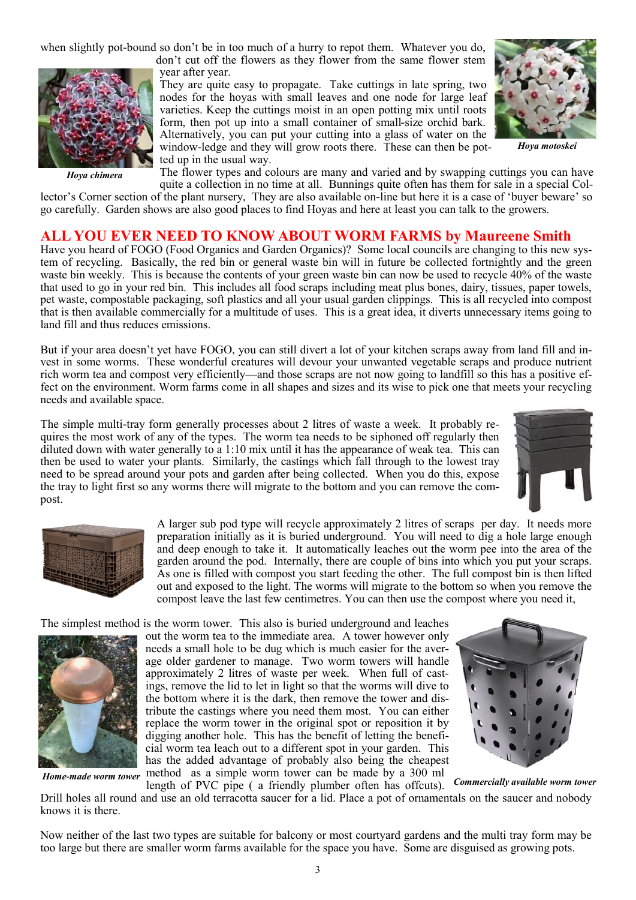when slightly pot-bound so don't be in too much of a hurry to repot them. Whatever you do,



 *Hoya chimera*

don't cut off the flowers as they flower from the same flower stem year after year.

They are quite easy to propagate. Take cuttings in late spring, two nodes for the hoyas with small leaves and one node for large leaf varieties. Keep the cuttings moist in an open potting mix until roots form, then pot up into a small container of small-size orchid bark. Alternatively, you can put your cutting into a glass of water on the window-ledge and they will grow roots there. These can then be potted up in the usual way.



*Hoya motoskei*

The flower types and colours are many and varied and by swapping cuttings you can have quite a collection in no time at all. Bunnings quite often has them for sale in a special Col-

lector's Corner section of the plant nursery, They are also available on-line but here it is a case of 'buyer beware' so go carefully. Garden shows are also good places to find Hoyas and here at least you can talk to the growers.

#### **ALL YOU EVER NEED TO KNOW ABOUT WORM FARMS by Maureene Smith**

Have you heard of FOGO (Food Organics and Garden Organics)? Some local councils are changing to this new system of recycling. Basically, the red bin or general waste bin will in future be collected fortnightly and the green waste bin weekly. This is because the contents of your green waste bin can now be used to recycle 40% of the waste that used to go in your red bin. This includes all food scraps including meat plus bones, dairy, tissues, paper towels, pet waste, compostable packaging, soft plastics and all your usual garden clippings. This is all recycled into compost that is then available commercially for a multitude of uses. This is a great idea, it diverts unnecessary items going to land fill and thus reduces emissions.

But if your area doesn't yet have FOGO, you can still divert a lot of your kitchen scraps away from land fill and invest in some worms. These wonderful creatures will devour your unwanted vegetable scraps and produce nutrient rich worm tea and compost very efficiently—and those scraps are not now going to landfill so this has a positive effect on the environment. Worm farms come in all shapes and sizes and its wise to pick one that meets your recycling needs and available space.

The simple multi-tray form generally processes about 2 litres of waste a week. It probably requires the most work of any of the types. The worm tea needs to be siphoned off regularly then diluted down with water generally to a 1:10 mix until it has the appearance of weak tea. This can then be used to water your plants. Similarly, the castings which fall through to the lowest tray need to be spread around your pots and garden after being collected. When you do this, expose the tray to light first so any worms there will migrate to the bottom and you can remove the compost.





A larger sub pod type will recycle approximately 2 litres of scraps per day. It needs more preparation initially as it is buried underground. You will need to dig a hole large enough and deep enough to take it. It automatically leaches out the worm pee into the area of the garden around the pod. Internally, there are couple of bins into which you put your scraps. As one is filled with compost you start feeding the other. The full compost bin is then lifted out and exposed to the light. The worms will migrate to the bottom so when you remove the compost leave the last few centimetres. You can then use the compost where you need it,

The simplest method is the worm tower. This also is buried underground and leaches



out the worm tea to the immediate area. A tower however only needs a small hole to be dug which is much easier for the average older gardener to manage. Two worm towers will handle approximately 2 litres of waste per week. When full of castings, remove the lid to let in light so that the worms will dive to the bottom where it is the dark, then remove the tower and distribute the castings where you need them most. You can either replace the worm tower in the original spot or reposition it by digging another hole. This has the benefit of letting the beneficial worm tea leach out to a different spot in your garden. This has the added advantage of probably also being the cheapest method as a simple worm tower can be made by a 300 ml *Home-made worm tower* method as a simple worm tower can be made by a 500 mi<br>length of PVC pipe ( a friendly plumber often has offcuts). Commercially available worm tower



Drill holes all round and use an old terracotta saucer for a lid. Place a pot of ornamentals on the saucer and nobody knows it is there.

Now neither of the last two types are suitable for balcony or most courtyard gardens and the multi tray form may be too large but there are smaller worm farms available for the space you have. Some are disguised as growing pots.